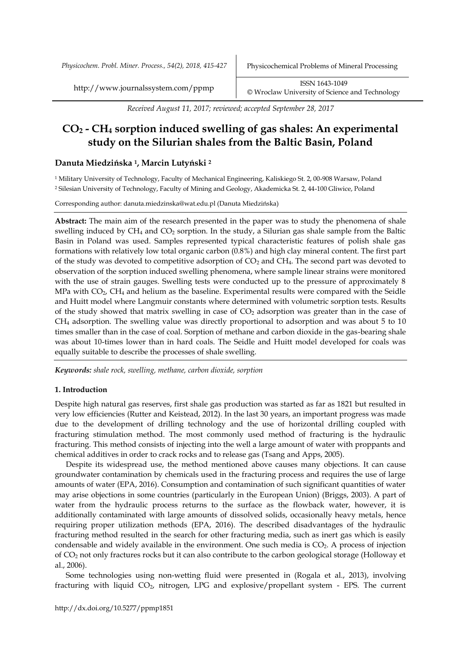*Received August 11, 2017; reviewed; accepted September 28, 2017*

# **CO<sup>2</sup> - CH<sup>4</sup> sorption induced swelling of gas shales: An experimental study on the Silurian shales from the Baltic Basin, Poland**

## **Danuta Miedzińska 1, Marcin Lutyński <sup>2</sup>**

<sup>1</sup> Military University of Technology, Faculty of Mechanical Engineering, Kaliskiego St. 2, 00-908 Warsaw, Poland <sup>2</sup> Silesian University of Technology, Faculty of Mining and Geology, Akademicka St. 2, 44-100 Gliwice, Poland

Corresponding author: danuta.miedzinska@wat.edu.pl (Danuta Miedzińska)

**Abstract:** The main aim of the research presented in the paper was to study the phenomena of shale swelling induced by CH<sub>4</sub> and CO<sub>2</sub> sorption. In the study, a Silurian gas shale sample from the Baltic Basin in Poland was used. Samples represented typical characteristic features of polish shale gas formations with relatively low total organic carbon (0.8%) and high clay mineral content. The first part of the study was devoted to competitive adsorption of CO<sup>2</sup> and CH4. The second part was devoted to observation of the sorption induced swelling phenomena, where sample linear strains were monitored with the use of strain gauges. Swelling tests were conducted up to the pressure of approximately 8 MPa with CO2, CH<sup>4</sup> and helium as the baseline. Experimental results were compared with the Seidle and Huitt model where Langmuir constants where determined with volumetric sorption tests. Results of the study showed that matrix swelling in case of  $CO<sub>2</sub>$  adsorption was greater than in the case of CH<sup>4</sup> adsorption. The swelling value was directly proportional to adsorption and was about 5 to 10 times smaller than in the case of coal. Sorption of methane and carbon dioxide in the gas-bearing shale was about 10-times lower than in hard coals. The Seidle and Huitt model developed for coals was equally suitable to describe the processes of shale swelling.

*Keywords: shale rock, swelling, methane, carbon dioxide, sorption*

## **1. Introduction**

Despite high natural gas reserves, first shale gas production was started as far as 1821 but resulted in very low efficiencies (Rutter and Keistead, 2012). In the last 30 years, an important progress was made due to the development of drilling technology and the use of horizontal drilling coupled with fracturing stimulation method. The most commonly used method of fracturing is the hydraulic fracturing. This method consists of injecting into the well a large amount of water with proppants and chemical additives in order to crack rocks and to release gas (Tsang and Apps, 2005).

Despite its widespread use, the method mentioned above causes many objections. It can cause groundwater contamination by chemicals used in the fracturing process and requires the use of large amounts of water (EPA, 2016). Consumption and contamination of such significant quantities of water may arise objections in some countries (particularly in the European Union) (Briggs, 2003). A part of water from the hydraulic process returns to the surface as the flowback water, however, it is additionally contaminated with large amounts of dissolved solids, occasionally heavy metals, hence requiring proper utilization methods (EPA, 2016). The described disadvantages of the hydraulic fracturing method resulted in the search for other fracturing media, such as inert gas which is easily condensable and widely available in the environment. One such media is  $CO<sub>2</sub>$ . A process of injection of CO<sup>2</sup> not only fractures rocks but it can also contribute to the carbon geological storage (Holloway et al., 2006).

Some technologies using non-wetting fluid were presented in (Rogala et al., 2013), involving fracturing with liquid  $CO<sub>2</sub>$ , nitrogen, LPG and explosive/propellant system - EPS. The current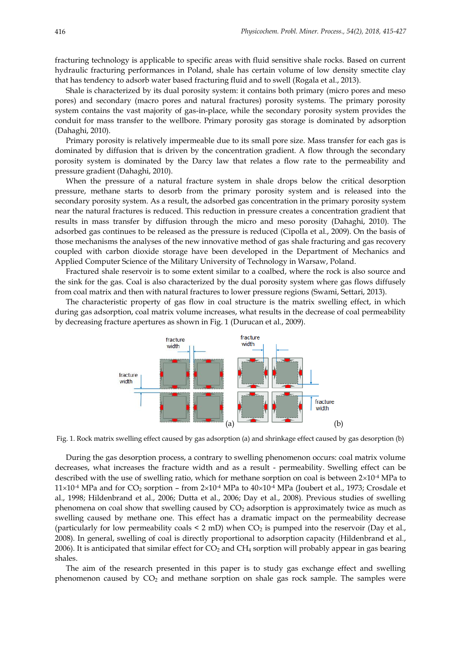fracturing technology is applicable to specific areas with fluid sensitive shale rocks. Based on current hydraulic fracturing performances in Poland, shale has certain volume of low density smectite clay that has tendency to adsorb water based fracturing fluid and to swell (Rogala et al., 2013).

Shale is characterized by its dual porosity system: it contains both primary (micro pores and meso pores) and secondary (macro pores and natural fractures) porosity systems. The primary porosity system contains the vast majority of gas-in-place, while the secondary porosity system provides the conduit for mass transfer to the wellbore. Primary porosity gas storage is dominated by adsorption (Dahaghi, 2010).

Primary porosity is relatively impermeable due to its small pore size. Mass transfer for each gas is dominated by diffusion that is driven by the concentration gradient. A flow through the secondary porosity system is dominated by the Darcy law that relates a flow rate to the permeability and pressure gradient (Dahaghi, 2010).

When the pressure of a natural fracture system in shale drops below the critical desorption pressure, methane starts to desorb from the primary porosity system and is released into the secondary porosity system. As a result, the adsorbed gas concentration in the primary porosity system near the natural fractures is reduced. This reduction in pressure creates a concentration gradient that results in mass transfer by diffusion through the micro and meso porosity (Dahaghi, 2010). The adsorbed gas continues to be released as the pressure is reduced (Cipolla et al., 2009). On the basis of those mechanisms the analyses of the new innovative method of gas shale fracturing and gas recovery coupled with carbon dioxide storage have been developed in the Department of Mechanics and Applied Computer Science of the Military University of Technology in Warsaw, Poland.

Fractured shale reservoir is to some extent similar to a coalbed, where the rock is also source and the sink for the gas. Coal is also characterized by the dual porosity system where gas flows diffusely from coal matrix and then with natural fractures to lower pressure regions (Swami, Settari, 2013).

The characteristic property of gas flow in coal structure is the matrix swelling effect, in which during gas adsorption, coal matrix volume increases, what results in the decrease of coal permeability by decreasing fracture apertures as shown in Fig. 1 (Durucan et al., 2009).



Fig. 1. Rock matrix swelling effect caused by gas adsorption (a) and shrinkage effect caused by gas desorption (b)

During the gas desorption process, a contrary to swelling phenomenon occurs: coal matrix volume decreases, what increases the fracture width and as a result - permeability. Swelling effect can be described with the use of swelling ratio, which for methane sorption on coal is between  $2\times10^{-4}$  MPa to  $11\times10^{-4}$  MPa and for CO<sub>2</sub> sorption – from  $2\times10^{-4}$  MPa to  $40\times10^{-4}$  MPa (Joubert et al., 1973; Crosdale et al., 1998; Hildenbrand et al., 2006; Dutta et al., 2006; Day et al., 2008). Previous studies of swelling phenomena on coal show that swelling caused by  $CO<sub>2</sub>$  adsorption is approximately twice as much as swelling caused by methane one. This effect has a dramatic impact on the permeability decrease (particularly for low permeability coals  $\leq 2$  mD) when CO<sub>2</sub> is pumped into the reservoir (Day et al., 2008). In general, swelling of coal is directly proportional to adsorption capacity (Hildenbrand et al., 2006). It is anticipated that similar effect for  $CO<sub>2</sub>$  and  $CH<sub>4</sub>$  sorption will probably appear in gas bearing shales.

The aim of the research presented in this paper is to study gas exchange effect and swelling phenomenon caused by  $CO<sub>2</sub>$  and methane sorption on shale gas rock sample. The samples were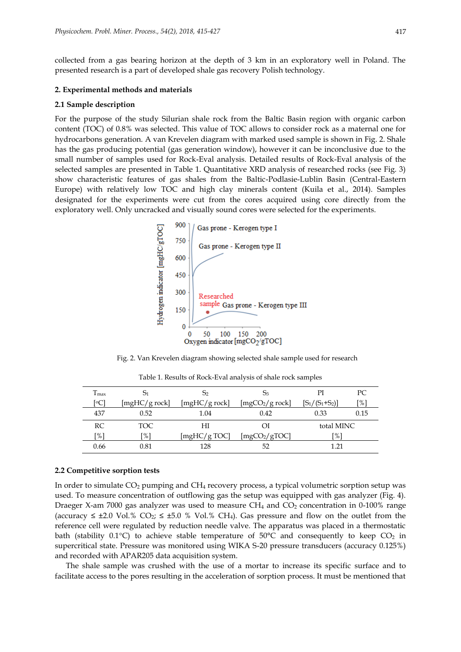collected from a gas bearing horizon at the depth of 3 km in an exploratory well in Poland. The presented research is a part of developed shale gas recovery Polish technology.

#### **2. Experimental methods and materials**

#### **2.1 Sample description**

For the purpose of the study Silurian shale rock from the Baltic Basin region with organic carbon content (TOC) of 0.8% was selected. This value of TOC allows to consider rock as a maternal one for hydrocarbons generation. A van Krevelen diagram with marked used sample is shown in Fig. 2. Shale has the gas producing potential (gas generation window), however it can be inconclusive due to the small number of samples used for Rock-Eval analysis. Detailed results of Rock-Eval analysis of the selected samples are presented in Table 1. Quantitative XRD analysis of researched rocks (see Fig. 3) show characteristic features of gas shales from the Baltic-Podlasie-Lublin Basin (Central-Eastern Europe) with relatively low TOC and high clay minerals content (Kuila et al., 2014). Samples designated for the experiments were cut from the cores acquired using core directly from the exploratory well. Only uncracked and visually sound cores were selected for the experiments.



Fig. 2. Van Krevelen diagram showing selected shale sample used for research

| $\mathbf{I}$ max | 51            | 5 <sub>2</sub> | Э3                          | PI                | PC.            |
|------------------|---------------|----------------|-----------------------------|-------------------|----------------|
| ſ°С              | [mgHC/g rock] | [mgHC/g rock]  | [mgCO <sub>2</sub> /g rock] | $[S_1/(S_1+S_2)]$ | $\mathsf{I}\%$ |
| 437              | 0.52          | 1.04           | 0.42                        | 0.33              | 0.15           |
|                  |               |                |                             |                   |                |
| RC               | TOC.          | НI             | ОI                          | total MINC        |                |
| [%]              | $\frac{9}{6}$ | [mgHC/g TOC]   | [mgCO <sub>2</sub> /gTOC]   | $\frac{9}{6}$     |                |

Table 1. Results of Rock-Eval analysis of shale rock samples

#### **2.2 Competitive sorption tests**

In order to simulate CO<sub>2</sub> pumping and CH<sub>4</sub> recovery process, a typical volumetric sorption setup was used. To measure concentration of outflowing gas the setup was equipped with gas analyzer (Fig. 4). Draeger X-am 7000 gas analyzer was used to measure  $CH_4$  and  $CO_2$  concentration in 0-100% range (accuracy  $\leq \pm 2.0$  Vol.% CO<sub>2</sub>;  $\leq \pm 5.0$  % Vol.% CH<sub>4</sub>). Gas pressure and flow on the outlet from the reference cell were regulated by reduction needle valve. The apparatus was placed in a thermostatic bath (stability 0.1 $\degree$ C) to achieve stable temperature of 50 $\degree$ C and consequently to keep CO<sub>2</sub> in supercritical state. Pressure was monitored using WIKA S-20 pressure transducers (accuracy 0.125%) and recorded with APAR205 data acquisition system.

The shale sample was crushed with the use of a mortar to increase its specific surface and to facilitate access to the pores resulting in the acceleration of sorption process. It must be mentioned that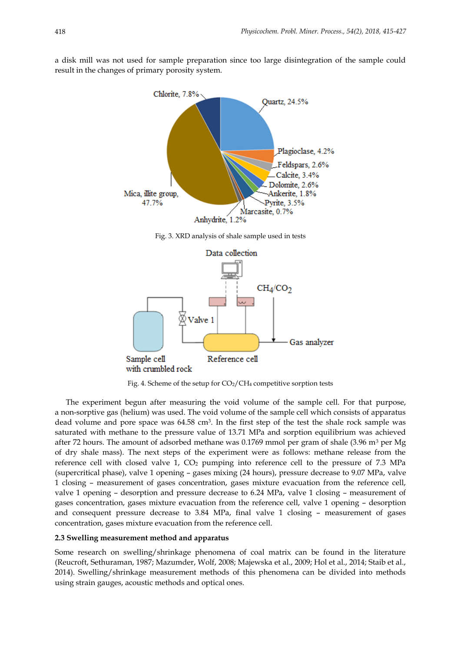a disk mill was not used for sample preparation since too large disintegration of the sample could result in the changes of primary porosity system.



Fig. 3. XRD analysis of shale sample used in tests



Fig. 4. Scheme of the setup for  $CO<sub>2</sub>/CH<sub>4</sub>$  competitive sorption tests

The experiment begun after measuring the void volume of the sample cell. For that purpose, a non-sorptive gas (helium) was used. The void volume of the sample cell which consists of apparatus dead volume and pore space was 64.58 cm<sup>3</sup>. In the first step of the test the shale rock sample was saturated with methane to the pressure value of 13.71 MPa and sorption equilibrium was achieved after 72 hours. The amount of adsorbed methane was  $0.1769$  mmol per gram of shale  $(3.96 \text{ m}^3 \text{ per Mg})$ of dry shale mass). The next steps of the experiment were as follows: methane release from the reference cell with closed valve 1,  $CO<sub>2</sub>$  pumping into reference cell to the pressure of 7.3 MPa (supercritical phase), valve 1 opening – gases mixing (24 hours), pressure decrease to 9.07 MPa, valve 1 closing – measurement of gases concentration, gases mixture evacuation from the reference cell, valve 1 opening – desorption and pressure decrease to 6.24 MPa, valve 1 closing – measurement of gases concentration, gases mixture evacuation from the reference cell, valve 1 opening – desorption and consequent pressure decrease to 3.84 MPa, final valve 1 closing – measurement of gases concentration, gases mixture evacuation from the reference cell.

## **2.3 Swelling measurement method and apparatus**

Some research on swelling/shrinkage phenomena of coal matrix can be found in the literature (Reucroft, Sethuraman, 1987; Mazumder, Wolf, 2008; Majewska et al., 2009; Hol et al., 2014; Staib et al., 2014). Swelling/shrinkage measurement methods of this phenomena can be divided into methods using strain gauges, acoustic methods and optical ones.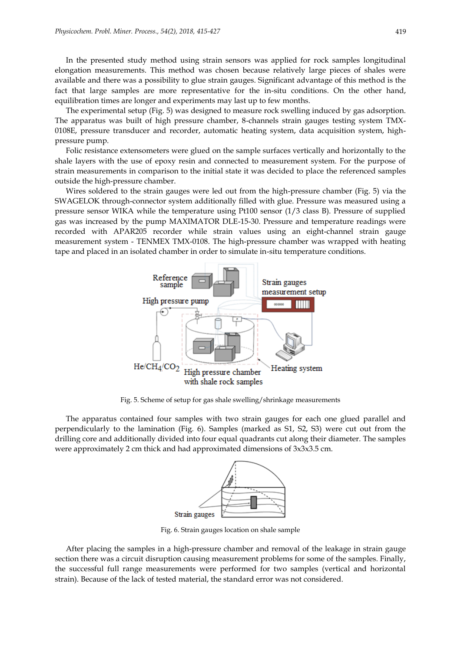In the presented study method using strain sensors was applied for rock samples longitudinal elongation measurements. This method was chosen because relatively large pieces of shales were available and there was a possibility to glue strain gauges. Significant advantage of this method is the fact that large samples are more representative for the in-situ conditions. On the other hand, equilibration times are longer and experiments may last up to few months.

The experimental setup (Fig. 5) was designed to measure rock swelling induced by gas adsorption. The apparatus was built of high pressure chamber, 8-channels strain gauges testing system TMX-0108E, pressure transducer and recorder, automatic heating system, data acquisition system, highpressure pump.

Folic resistance extensometers were glued on the sample surfaces vertically and horizontally to the shale layers with the use of epoxy resin and connected to measurement system. For the purpose of strain measurements in comparison to the initial state it was decided to place the referenced samples outside the high-pressure chamber.

Wires soldered to the strain gauges were led out from the high-pressure chamber (Fig. 5) via the SWAGELOK through-connector system additionally filled with glue. Pressure was measured using a pressure sensor WIKA while the temperature using Pt100 sensor (1/3 class B). Pressure of supplied gas was increased by the pump MAXIMATOR DLE-15-30. Pressure and temperature readings were recorded with APAR205 recorder while strain values using an eight-channel strain gauge measurement system - TENMEX TMX-0108. The high-pressure chamber was wrapped with heating tape and placed in an isolated chamber in order to simulate in-situ temperature conditions.



Fig. 5. Scheme of setup for gas shale swelling/shrinkage measurements

The apparatus contained four samples with two strain gauges for each one glued parallel and perpendicularly to the lamination (Fig. 6). Samples (marked as S1, S2, S3) were cut out from the drilling core and additionally divided into four equal quadrants cut along their diameter. The samples were approximately 2 cm thick and had approximated dimensions of 3x3x3.5 cm.



Fig. 6. Strain gauges location on shale sample

After placing the samples in a high-pressure chamber and removal of the leakage in strain gauge section there was a circuit disruption causing measurement problems for some of the samples. Finally, the successful full range measurements were performed for two samples (vertical and horizontal strain). Because of the lack of tested material, the standard error was not considered.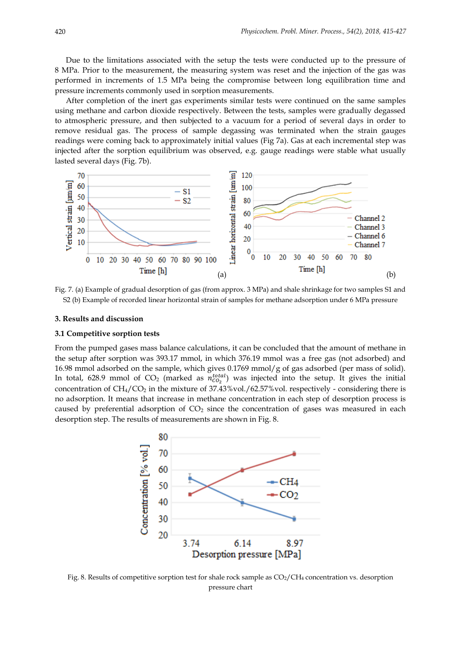Due to the limitations associated with the setup the tests were conducted up to the pressure of 8 MPa. Prior to the measurement, the measuring system was reset and the injection of the gas was performed in increments of 1.5 MPa being the compromise between long equilibration time and pressure increments commonly used in sorption measurements.

After completion of the inert gas experiments similar tests were continued on the same samples using methane and carbon dioxide respectively. Between the tests, samples were gradually degassed to atmospheric pressure, and then subjected to a vacuum for a period of several days in order to remove residual gas. The process of sample degassing was terminated when the strain gauges readings were coming back to approximately initial values (Fig 7a). Gas at each incremental step was injected after the sorption equilibrium was observed, e.g. gauge readings were stable what usually lasted several days (Fig. 7b).



Fig. 7. (a) Example of gradual desorption of gas (from approx. 3 MPa) and shale shrinkage for two samples S1 and S2 (b) Example of recorded linear horizontal strain of samples for methane adsorption under 6 MPa pressure

#### **3. Results and discussion**

## **3.1 Competitive sorption tests**

From the pumped gases mass balance calculations, it can be concluded that the amount of methane in the setup after sorption was 393.17 mmol, in which 376.19 mmol was a free gas (not adsorbed) and 16.98 mmol adsorbed on the sample, which gives 0.1769 mmol/g of gas adsorbed (per mass of solid). In total, 628.9 mmol of  $CO_2$  (marked as  $n_{CO_2}^{total}$ ) was injected into the setup. It gives the initial concentration of  $CH_4/CO_2$  in the mixture of 37.43%vol./62.57%vol. respectively - considering there is no adsorption. It means that increase in methane concentration in each step of desorption process is caused by preferential adsorption of  $CO<sub>2</sub>$  since the concentration of gases was measured in each desorption step. The results of measurements are shown in Fig. 8.



Fig. 8. Results of competitive sorption test for shale rock sample as  $CO_2/CH_4$  concentration vs. desorption pressure chart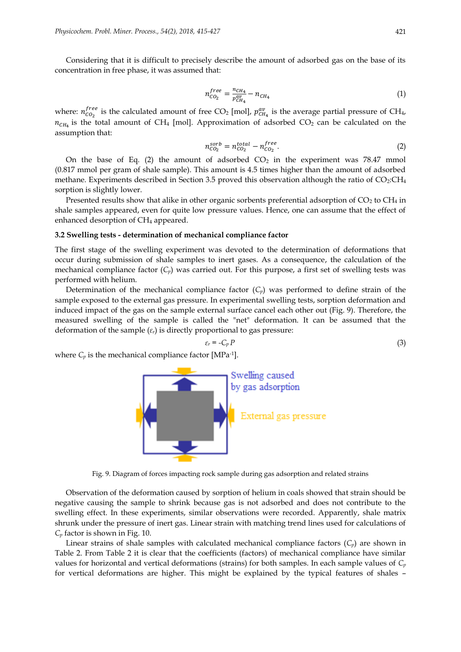Considering that it is difficult to precisely describe the amount of adsorbed gas on the base of its concentration in free phase, it was assumed that:

$$
n_{CO_2}^{free} = \frac{n_{CH_4}}{p_{CH_4}^{av}} - n_{CH_4}
$$
\n(1)

where:  $n_{CO_2}^{free}$  is the calculated amount of free CO<sub>2</sub> [mol],  $p_{CH_4}^{av}$  is the average partial pressure of CH<sub>4</sub>,  $n_{CH_4}$  is the total amount of CH<sub>4</sub> [mol]. Approximation of adsorbed CO<sub>2</sub> can be calculated on the assumption that:

$$
n_{CO_2}^{sorb} = n_{CO_2}^{total} - n_{CO_2}^{free}.
$$
\n
$$
(2)
$$

On the base of Eq. (2) the amount of adsorbed  $CO<sub>2</sub>$  in the experiment was 78.47 mmol (0.817 mmol per gram of shale sample). This amount is 4.5 times higher than the amount of adsorbed methane. Experiments described in Section 3.5 proved this observation although the ratio of  $CO<sub>2</sub>:CH<sub>4</sub>$ sorption is slightly lower.

Presented results show that alike in other organic sorbents preferential adsorption of  $CO<sub>2</sub>$  to  $CH<sub>4</sub>$  in shale samples appeared, even for quite low pressure values. Hence, one can assume that the effect of enhanced desorption of  $CH<sub>4</sub>$  appeared.

## **3.2 Swelling tests - determination of mechanical compliance factor**

The first stage of the swelling experiment was devoted to the determination of deformations that occur during submission of shale samples to inert gases. As a consequence, the calculation of the mechanical compliance factor  $(C_p)$  was carried out. For this purpose, a first set of swelling tests was performed with helium.

Determination of the mechanical compliance factor  $(C_p)$  was performed to define strain of the sample exposed to the external gas pressure. In experimental swelling tests, sorption deformation and induced impact of the gas on the sample external surface cancel each other out (Fig. 9). Therefore, the measured swelling of the sample is called the "net" deformation. It can be assumed that the deformation of the sample (*εr*) is directly proportional to gas pressure:

$$
\varepsilon_r = -C_p P \tag{3}
$$

where  $C_p$  is the mechanical compliance factor [MPa<sup>-1</sup>].



Fig. 9. Diagram of forces impacting rock sample during gas adsorption and related strains

Observation of the deformation caused by sorption of helium in coals showed that strain should be negative causing the sample to shrink because gas is not adsorbed and does not contribute to the swelling effect. In these experiments, similar observations were recorded. Apparently, shale matrix shrunk under the pressure of inert gas. Linear strain with matching trend lines used for calculations of *C<sup>p</sup>* factor is shown in Fig. 10.

Linear strains of shale samples with calculated mechanical compliance factors  $(C_p)$  are shown in Table 2. From Table 2 it is clear that the coefficients (factors) of mechanical compliance have similar values for horizontal and vertical deformations (strains) for both samples. In each sample values of *C<sup>p</sup>* for vertical deformations are higher. This might be explained by the typical features of shales –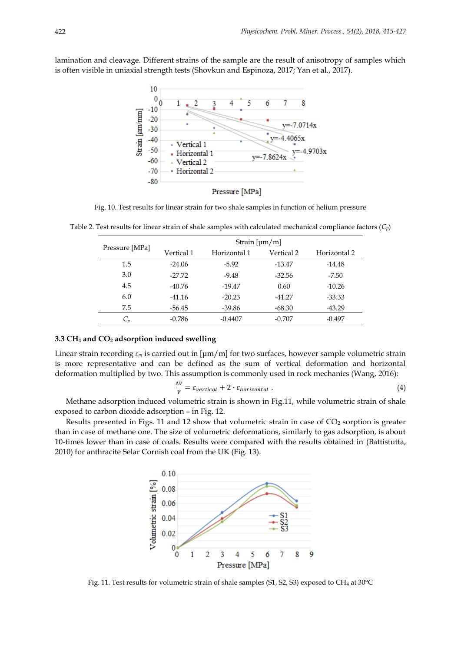lamination and cleavage. Different strains of the sample are the result of anisotropy of samples which is often visible in uniaxial strength tests (Shovkun and Espinoza, 2017; Yan et al., 2017).



Pressure [MPa]

Fig. 10. Test results for linear strain for two shale samples in function of helium pressure

|                | Strain $[\mu m/m]$ |              |            |              |  |
|----------------|--------------------|--------------|------------|--------------|--|
| Pressure [MPa] | Vertical 1         | Horizontal 1 | Vertical 2 | Horizontal 2 |  |
| 1.5            | $-24.06$           | $-5.92$      | $-13.47$   | $-14.48$     |  |
| 3.0            | $-27.72$           | $-9.48$      | $-32.56$   | $-7.50$      |  |
| 4.5            | $-40.76$           | $-19.47$     | 0.60       | $-10.26$     |  |
| 6.0            | $-41.16$           | $-20.23$     | $-41.27$   | $-33.33$     |  |
| 7.5            | $-56.45$           | $-39.86$     | $-68.30$   | $-43.29$     |  |
|                | $-0.786$           | $-0.4407$    | $-0.707$   | $-0.497$     |  |

Table 2. Test results for linear strain of shale samples with calculated mechanical compliance factors (*Cp*)

#### **3.3 CH<sup>4</sup> and CO<sup>2</sup> adsorption induced swelling**

Linear strain recording *ε<sup>m</sup>* is carried out in [μm/m] for two surfaces, however sample volumetric strain is more representative and can be defined as the sum of vertical deformation and horizontal deformation multiplied by two. This assumption is commonly used in rock mechanics (Wang, 2016):

$$
\frac{\Delta V}{V} = \varepsilon_{vertical} + 2 \cdot \varepsilon_{horizontal} \tag{4}
$$

Methane adsorption induced volumetric strain is shown in Fig.11, while volumetric strain of shale exposed to carbon dioxide adsorption – in Fig. 12.

Results presented in Figs. 11 and 12 show that volumetric strain in case of  $CO<sub>2</sub>$  sorption is greater than in case of methane one. The size of volumetric deformations, similarly to gas adsorption, is about 10-times lower than in case of coals. Results were compared with the results obtained in (Battistutta, 2010) for anthracite Selar Cornish coal from the UK (Fig. 13).



Fig. 11. Test results for volumetric strain of shale samples (S1, S2, S3) exposed to CH<sup>4</sup> at 30°C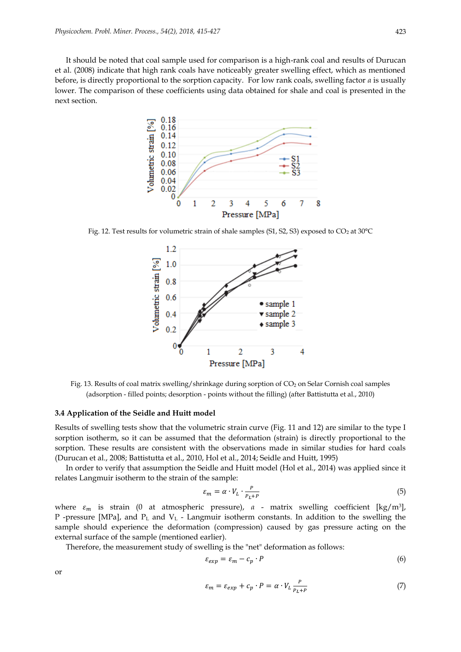It should be noted that coal sample used for comparison is a high-rank coal and results of Durucan et al. (2008) indicate that high rank coals have noticeably greater swelling effect, which as mentioned before, is directly proportional to the sorption capacity. For low rank coals, swelling factor *α* is usually lower. The comparison of these coefficients using data obtained for shale and coal is presented in the next section.



Fig. 12. Test results for volumetric strain of shale samples (S1, S2, S3) exposed to  $CO_2$  at 30°C



Fig. 13. Results of coal matrix swelling/shrinkage during sorption of CO<sub>2</sub> on Selar Cornish coal samples (adsorption - filled points; desorption - points without the filling) (after Battistutta et al., 2010)

## **3.4 Application of the Seidle and Huitt model**

Results of swelling tests show that the volumetric strain curve (Fig. 11 and 12) are similar to the type I sorption isotherm, so it can be assumed that the deformation (strain) is directly proportional to the sorption. These results are consistent with the observations made in similar studies for hard coals (Durucan et al., 2008; Battistutta et al., 2010, Hol et al., 2014; Seidle and Huitt, 1995)

In order to verify that assumption the Seidle and Huitt model (Hol et al., 2014) was applied since it relates Langmuir isotherm to the strain of the sample:

$$
\varepsilon_m = \alpha \cdot V_L \cdot \frac{P}{P_L + P} \tag{5}
$$

where  $\varepsilon_m$  is strain (0 at atmospheric pressure), *a* - matrix swelling coefficient [kg/m<sup>3</sup>], P -pressure [MPa], and P<sup>L</sup> and V<sup>L</sup> - Langmuir isotherm constants. In addition to the swelling the sample should experience the deformation (compression) caused by gas pressure acting on the external surface of the sample (mentioned earlier).

Therefore, the measurement study of swelling is the "net" deformation as follows:

$$
\varepsilon_{exp} = \varepsilon_m - c_p \cdot P \tag{6}
$$

or

$$
\varepsilon_m = \varepsilon_{exp} + c_p \cdot P = \alpha \cdot V_L \frac{P}{P_L + P}
$$
 (7)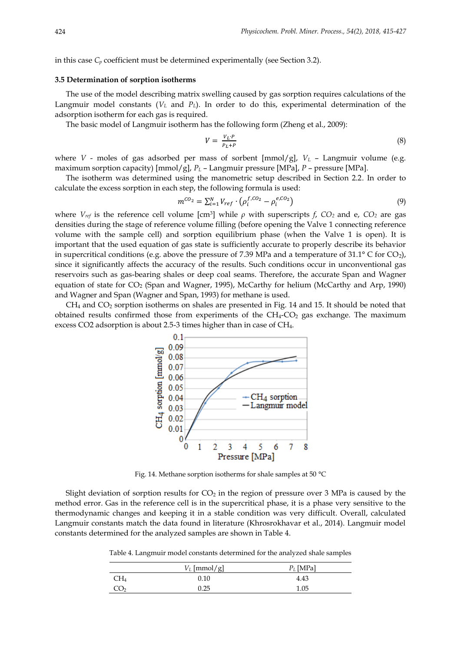in this case  $C_p$  coefficient must be determined experimentally (see Section 3.2).

## **3.5 Determination of sorption isotherms**

The use of the model describing matrix swelling caused by gas sorption requires calculations of the Langmuir model constants (*V<sup>L</sup>* and *PL*). In order to do this, experimental determination of the adsorption isotherm for each gas is required.

The basic model of Langmuir isotherm has the following form (Zheng et al., 2009):

$$
V = \frac{V_L \cdot P}{P_L + P} \tag{8}
$$

where *V* - moles of gas adsorbed per mass of sorbent  $\lfloor \frac{mmol/g}{g} \rfloor$ ,  $V_L$  – Langmuir volume (e.g. maximum sorption capacity) [mmol/g], *P<sup>L</sup>* – Langmuir pressure [MPa], *P* – pressure [MPa].

The isotherm was determined using the manometric setup described in Section 2.2. In order to calculate the excess sorption in each step, the following formula is used:

$$
m^{CO_2} = \sum_{i=1}^{N} V_{ref} \cdot \left( \rho_i^{f, CO_2} - \rho_i^{e, CO_2} \right)
$$
\n(9)

where  $V_{ref}$  is the reference cell volume [cm<sup>3</sup>] while *ρ* with superscripts *f*, CO<sub>2</sub> and e, CO<sub>2</sub> are gas densities during the stage of reference volume filling (before opening the Valve 1 connecting reference volume with the sample cell) and sorption equilibrium phase (when the Valve 1 is open). It is important that the used equation of gas state is sufficiently accurate to properly describe its behavior in supercritical conditions (e.g. above the pressure of 7.39 MPa and a temperature of 31.1° C for CO<sub>2</sub>), since it significantly affects the accuracy of the results. Such conditions occur in unconventional gas reservoirs such as gas-bearing shales or deep coal seams. Therefore, the accurate Span and Wagner equation of state for CO<sup>2</sup> (Span and Wagner, 1995), McCarthy for helium (McCarthy and Arp, 1990) and Wagner and Span (Wagner and Span, 1993) for methane is used.

 $CH<sub>4</sub>$  and  $CO<sub>2</sub>$  sorption isotherms on shales are presented in Fig. 14 and 15. It should be noted that obtained results confirmed those from experiments of the  $CH_4$ - $CO_2$  gas exchange. The maximum excess CO2 adsorption is about 2.5-3 times higher than in case of CH4.



Fig. 14. Methane sorption isotherms for shale samples at 50 °C

Slight deviation of sorption results for  $CO<sub>2</sub>$  in the region of pressure over 3 MPa is caused by the method error. Gas in the reference cell is in the supercritical phase, it is a phase very sensitive to the thermodynamic changes and keeping it in a stable condition was very difficult. Overall, calculated Langmuir constants match the data found in literature (Khrosrokhavar et al., 2014). Langmuir model constants determined for the analyzed samples are shown in Table 4.

Table 4. Langmuir model constants determined for the analyzed shale samples

|        | $V_L$ [mmol/g] | $P_L$ [MPa] |
|--------|----------------|-------------|
| CH4    | 0.10           | 4.43        |
| $\cup$ | 0.25           | 1.05        |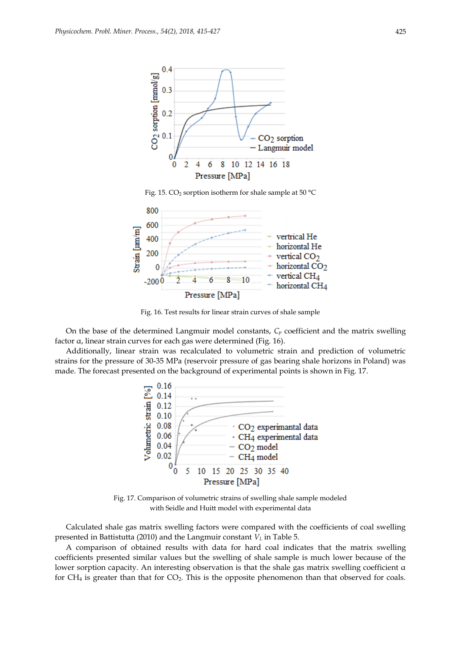

Fig. 15. CO<sub>2</sub> sorption isotherm for shale sample at 50  $^{\circ}$ C



Fig. 16. Test results for linear strain curves of shale sample

On the base of the determined Langmuir model constants, *C<sup>p</sup>* coefficient and the matrix swelling factor α, linear strain curves for each gas were determined (Fig. 16).

Additionally, linear strain was recalculated to volumetric strain and prediction of volumetric strains for the pressure of 30-35 MPa (reservoir pressure of gas bearing shale horizons in Poland) was made. The forecast presented on the background of experimental points is shown in Fig. 17.



Fig. 17. Comparison of volumetric strains of swelling shale sample modeled with Seidle and Huitt model with experimental data

Calculated shale gas matrix swelling factors were compared with the coefficients of coal swelling presented in Battistutta (2010) and the Langmuir constant *V<sup>L</sup>* in Table 5.

A comparison of obtained results with data for hard coal indicates that the matrix swelling coefficients presented similar values but the swelling of shale sample is much lower because of the lower sorption capacity. An interesting observation is that the shale gas matrix swelling coefficient α for  $CH_4$  is greater than that for  $CO_2$ . This is the opposite phenomenon than that observed for coals.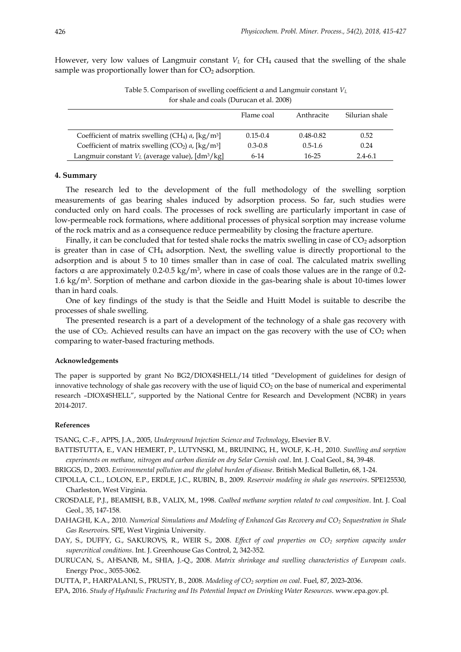However, very low values of Langmuir constant  $V<sub>L</sub>$  for CH<sub>4</sub> caused that the swelling of the shale sample was proportionally lower than for  $CO<sub>2</sub>$  adsorption.

| Table 5. Comparison of swelling coefficient $\alpha$ and Langmuir constant $V_L$ |
|----------------------------------------------------------------------------------|
| for shale and coals (Durucan et al. 2008)                                        |

|                                                                              | Flame coal   | Anthracite    | Silurian shale |
|------------------------------------------------------------------------------|--------------|---------------|----------------|
| Coefficient of matrix swelling (CH <sub>4</sub> ) $a$ , [kg/m <sup>3</sup> ] | $0.15 - 0.4$ | $0.48 - 0.82$ | 0.52           |
| Coefficient of matrix swelling $(CO_2)$ a, $\lceil \frac{kg}{m^3} \rceil$    | $0.3 - 0.8$  | $0.5 - 1.6$   | 0.24           |
| Langmuir constant $V_L$ (average value), [dm <sup>3</sup> /kg]               | $6-14$       | 16-25         | $2.4 - 6.1$    |

## **4. Summary**

The research led to the development of the full methodology of the swelling sorption measurements of gas bearing shales induced by adsorption process. So far, such studies were conducted only on hard coals. The processes of rock swelling are particularly important in case of low-permeable rock formations, where additional processes of physical sorption may increase volume of the rock matrix and as a consequence reduce permeability by closing the fracture aperture.

Finally, it can be concluded that for tested shale rocks the matrix swelling in case of  $CO<sub>2</sub>$  adsorption is greater than in case of CH<sup>4</sup> adsorption. Next, the swelling value is directly proportional to the adsorption and is about 5 to 10 times smaller than in case of coal. The calculated matrix swelling factors α are approximately 0.2-0.5 kg/m<sup>3</sup> , where in case of coals those values are in the range of 0.2- 1.6 kg/m<sup>3</sup> . Sorption of methane and carbon dioxide in the gas-bearing shale is about 10-times lower than in hard coals.

One of key findings of the study is that the Seidle and Huitt Model is suitable to describe the processes of shale swelling.

The presented research is a part of a development of the technology of a shale gas recovery with the use of  $CO<sub>2</sub>$ . Achieved results can have an impact on the gas recovery with the use of  $CO<sub>2</sub>$  when comparing to water-based fracturing methods.

#### **Acknowledgements**

The paper is supported by grant No BG2/DIOX4SHELL/14 titled "Development of guidelines for design of innovative technology of shale gas recovery with the use of liquid  $CO<sub>2</sub>$  on the base of numerical and experimental research –DIOX4SHELL", supported by the National Centre for Research and Development (NCBR) in years 2014-2017.

#### **References**

TSANG, C.-F., APPS, J.A., 2005, *Underground Injection Science and Technology*, Elsevier B.V.

- BATTISTUTTA, E., VAN HEMERT, P., LUTYNSKI, M., BRUINING, H., WOLF, K.-H., 2010. *Swelling and sorption experiments on methane, nitrogen and carbon dioxide on dry Selar Cornish coal*. Int. J. Coal Geol., 84, 39-48.
- BRIGGS, D., 2003. *Environmental pollution and the global burden of disease*. British Medical Bulletin, 68, 1-24.
- CIPOLLA, C.L., LOLON, E.P., ERDLE, J.C., RUBIN, B., 2009. *Reservoir modeling in shale gas reservoirs*. SPE125530, Charleston, West Virginia.
- CROSDALE, P.J., BEAMISH, B.B., VALIX, M., 1998. *Coalbed methane sorption related to coal composition*. Int. J. Coal Geol., 35, 147-158.
- DAHAGHI, K.A., 2010. *Numerical Simulations and Modeling of Enhanced Gas Recovery and CO<sup>2</sup> Sequestration in Shale Gas Reservoir*s. SPE, West Virginia University.
- DAY, S., DUFFY, G., SAKUROVS, R., WEIR S., 2008. *Effect of coal properties on CO<sup>2</sup> sorption capacity under supercritical conditions*. Int. J. Greenhouse Gas Control, 2, 342-352.
- DURUCAN, S., AHSANB, M., SHIA, J.-Q., 2008. *Matrix shrinkage and swelling characteristics of European coals*. Energy Proc., 3055-3062.

DUTTA, P., HARPALANI, S., PRUSTY, B., 2008. *Modeling of CO<sup>2</sup> sorption on coal*. Fuel, 87, 2023-2036.

EPA, 2016. *Study of Hydraulic Fracturing and Its Potential Impact on Drinking Water Resources*. www.epa.gov.pl.